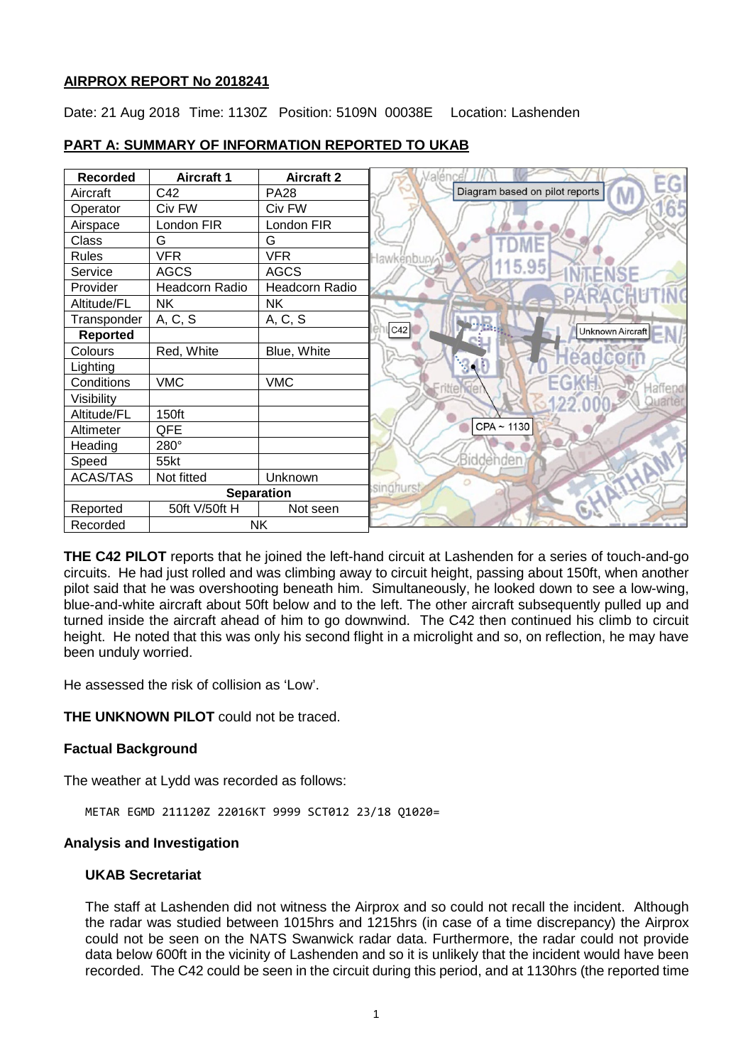### **AIRPROX REPORT No 2018241**

Date: 21 Aug 2018 Time: 1130Z Position: 5109N 00038E Location: Lashenden

| <b>Recorded</b>       | <b>Aircraft 1</b> | <b>Aircraft 2</b> |                                       |
|-----------------------|-------------------|-------------------|---------------------------------------|
| Aircraft              | C42               | <b>PA28</b>       | Diagram based on pilot reports<br>IV. |
| Operator              | Civ FW            | Civ FW            |                                       |
| Airspace              | London FIR        | London FIR        |                                       |
| Class                 | G                 | G                 |                                       |
| <b>Rules</b>          | <b>VFR</b>        | <b>VFR</b>        | Hawkenbury                            |
| Service               | <b>AGCS</b>       | <b>AGCS</b>       | 115.95                                |
| Provider              | Headcorn Radio    | Headcorn Radio    |                                       |
| Altitude/FL           | <b>NK</b>         | <b>NK</b>         |                                       |
| Transponder           | A, C, S           | A, C, S           |                                       |
| <b>Reported</b>       |                   |                   | C42<br>Unknown Aircraft               |
| Colours               | Red, White        | Blue, White       | eadco                                 |
| Lighting              |                   |                   |                                       |
| Conditions            | <b>VMC</b>        | <b>VMC</b>        | laffend                               |
| Visibility            |                   |                   | Juarter                               |
| Altitude/FL           | 150ft             |                   |                                       |
| Altimeter             | QFE               |                   | CPA ~ 1130                            |
| Heading               | 280°              |                   |                                       |
| Speed                 | 55kt              |                   | Biddenden                             |
| <b>ACAS/TAS</b>       | Not fitted        | Unknown           | Ο                                     |
| <b>Separation</b>     |                   |                   | singhurst                             |
| Reported              | 50ft V/50ft H     | Not seen          | $\langle \mathbf{x}_i$                |
| <b>NK</b><br>Recorded |                   |                   |                                       |

# **PART A: SUMMARY OF INFORMATION REPORTED TO UKAB**

**THE C42 PILOT** reports that he joined the left-hand circuit at Lashenden for a series of touch-and-go circuits. He had just rolled and was climbing away to circuit height, passing about 150ft, when another pilot said that he was overshooting beneath him. Simultaneously, he looked down to see a low-wing, blue-and-white aircraft about 50ft below and to the left. The other aircraft subsequently pulled up and turned inside the aircraft ahead of him to go downwind. The C42 then continued his climb to circuit height. He noted that this was only his second flight in a microlight and so, on reflection, he may have been unduly worried.

He assessed the risk of collision as 'Low'.

**THE UNKNOWN PILOT** could not be traced.

## **Factual Background**

The weather at Lydd was recorded as follows:

METAR EGMD 211120Z 22016KT 9999 SCT012 23/18 Q1020=

#### **Analysis and Investigation**

#### **UKAB Secretariat**

The staff at Lashenden did not witness the Airprox and so could not recall the incident. Although the radar was studied between 1015hrs and 1215hrs (in case of a time discrepancy) the Airprox could not be seen on the NATS Swanwick radar data. Furthermore, the radar could not provide data below 600ft in the vicinity of Lashenden and so it is unlikely that the incident would have been recorded. The C42 could be seen in the circuit during this period, and at 1130hrs (the reported time